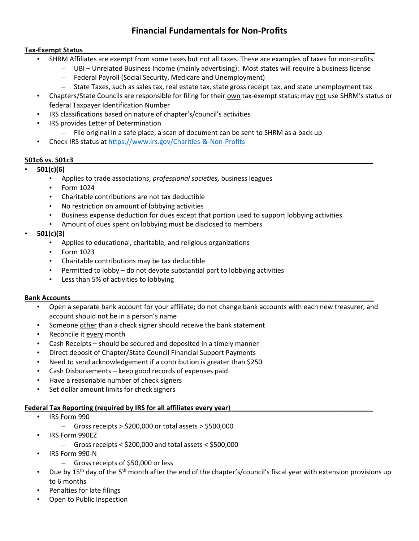# **Financial Fundamentals for Non-Profits**

#### **Tax-Exempt Status\_\_\_\_\_\_\_\_\_\_\_\_\_\_\_\_\_\_\_\_\_\_\_\_\_\_\_\_\_\_\_\_\_\_\_\_\_\_\_\_\_\_\_\_\_\_\_\_\_\_\_\_\_\_\_\_\_\_\_\_\_\_\_\_\_\_\_\_\_\_\_\_\_\_\_\_\_\_**

- SHRM Affiliates are exempt from some taxes but not all taxes. These are examples of taxes for non-profits.
	- UBI Unrelated Business Income (mainly advertising): Most states will require a business license
	- Federal Payroll (Social Security, Medicare and Unemployment)
	- State Taxes, such as sales tax, real estate tax, state gross receipt tax, and state unemployment tax
- Chapters/State Councils are responsible for filing for their own tax-exempt status; may not use SHRM's status or federal Taxpayer Identification Number
- IRS classifications based on nature of chapter's/council's activities
- IRS provides Letter of Determination
	- File original in a safe place; a scan of document can be sent to SHRM as a back up
- Check IRS status a[t https://www.irs.gov/Charities-&-Non-Profits](https://www.irs.gov/Charities-&-Non-Profits)

#### **501c6 vs. 501c3\_\_\_\_\_\_\_\_\_\_\_\_\_\_\_\_\_\_\_\_\_\_\_\_\_\_\_\_\_\_\_\_\_\_\_\_\_\_\_\_\_\_\_\_\_\_\_\_\_\_\_\_\_\_\_\_\_\_\_\_\_\_\_\_\_\_\_\_\_\_\_\_\_\_\_\_\_\_\_\_**

## • **501(c)(6)**

- Applies to trade associations, *professional societies,* business leagues
- Form 1024
- Charitable contributions are not tax deductible
- No restriction on amount of lobbying activities
- Business expense deduction for dues except that portion used to support lobbying activities
- Amount of dues spent on lobbying must be disclosed to members

## • **501(c)(3)**

- Applies to educational, charitable, and religious organizations
- Form 1023
- Charitable contributions may be tax deductible
- Permitted to lobby do not devote substantial part to lobbying activities
- Less than 5% of activities to lobbying

#### **Bank Accounts**

- Open a separate bank account for your affiliate; do not change bank accounts with each new treasurer, and account should not be in a person's name
- Someone other than a check signer should receive the bank statement
- Reconcile it every month
- Cash Receipts should be secured and deposited in a timely manner
- Direct deposit of Chapter/State Council Financial Support Payments
- Need to send acknowledgement if a contribution is greater than \$250
- Cash Disbursements keep good records of expenses paid
- Have a reasonable number of check signers
- Set dollar amount limits for check signers

#### **Federal Tax Reporting (required by IRS for all affiliates every year)**

- IRS Form 990
	- $-$  Gross receipts > \$200,000 or total assets > \$500,000
- IRS Form 990EZ
	- Gross receipts < \$200,000 and total assets < \$500,000
- IRS Form 990-N
	- Gross receipts of \$50,000 or less
- Due by 15<sup>th</sup> day of the 5<sup>th</sup> month after the end of the chapter's/council's fiscal year with extension provisions up to 6 months
- Penalties for late filings
- Open to Public Inspection